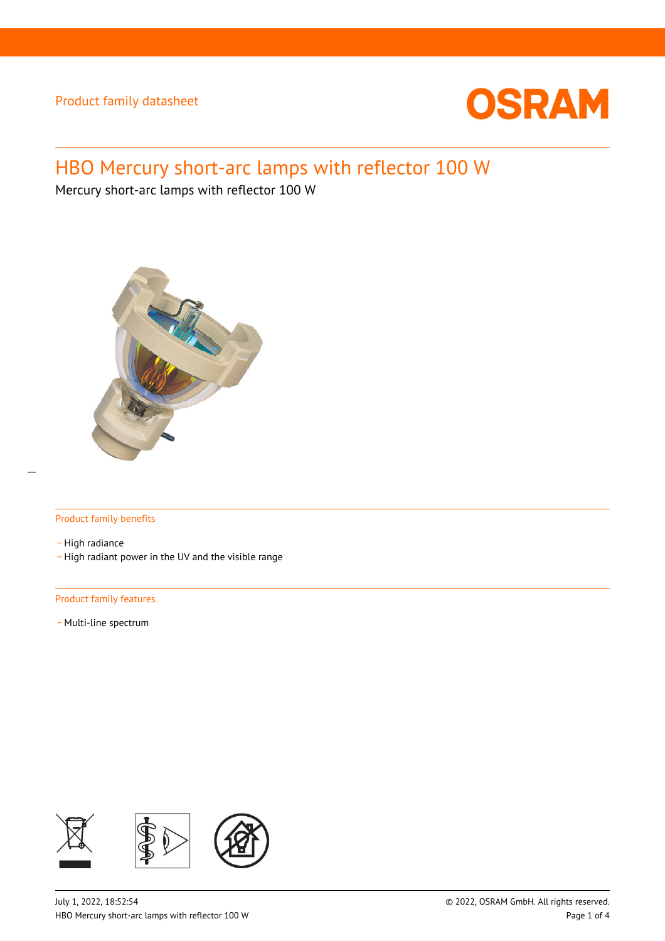

# HBO Mercury short-arc lamps with reflector 100 W

Mercury short-arc lamps with reflector 100 W



### Product family benefits

- High radiance - High radiant power in the UV and the visible range

### Product family features

- Multi-line spectrum

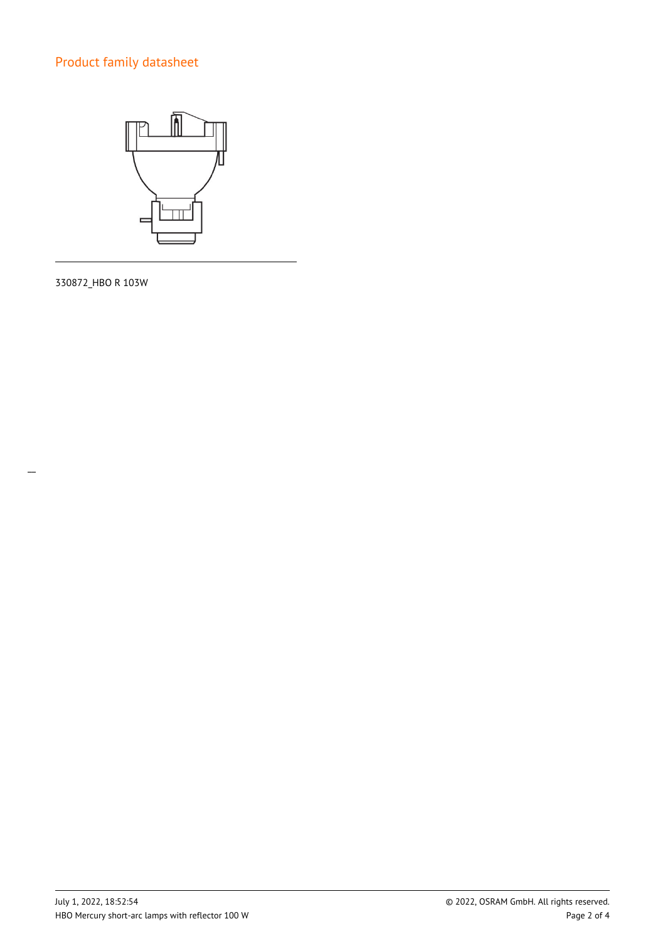

330872\_HBO R 103W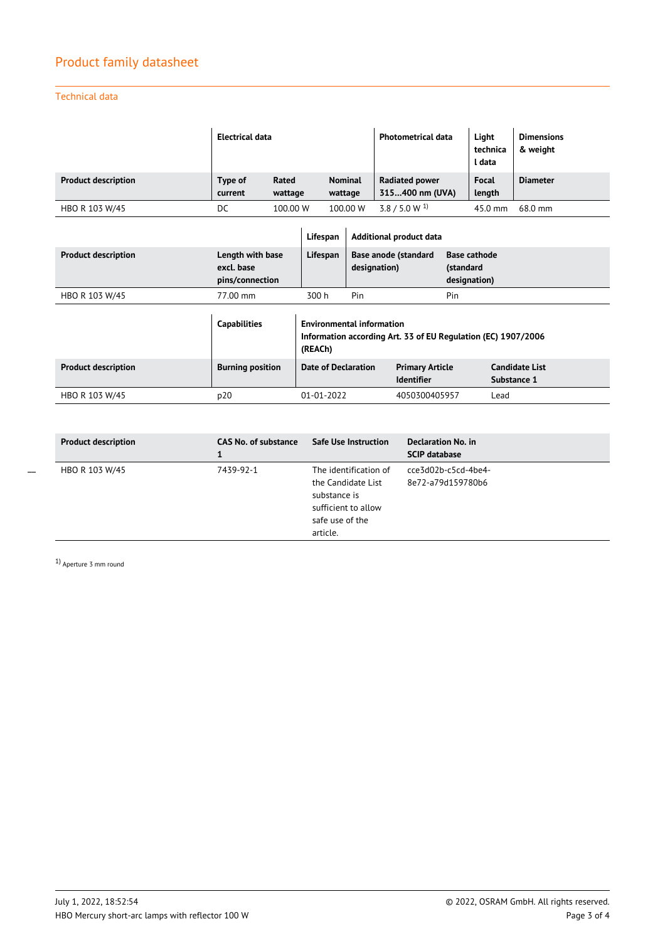### Technical data

|                            | Electrical data    |                  |                           | <b>Photometrical data</b>                | Light<br>technica<br>l data | <b>Dimensions</b><br>& weight |
|----------------------------|--------------------|------------------|---------------------------|------------------------------------------|-----------------------------|-------------------------------|
| <b>Product description</b> | Type of<br>current | Rated<br>wattage | <b>Nominal</b><br>wattage | <b>Radiated power</b><br>315400 nm (UVA) | <b>Focal</b><br>length      | <b>Diameter</b>               |
| HBO R 103 W/45             | DC                 | 100.00 W         | 100.00 W                  | $3.8 / 5.0 W^{1}$                        | $45.0 \text{ mm}$           | 68.0 mm                       |

|                            |                                                   | Lifespan                                                                                                     | <b>Additional product data</b>       |                                             |                                                  |                                      |
|----------------------------|---------------------------------------------------|--------------------------------------------------------------------------------------------------------------|--------------------------------------|---------------------------------------------|--------------------------------------------------|--------------------------------------|
| <b>Product description</b> | Length with base<br>excl. base<br>pins/connection | Lifespan                                                                                                     | Base anode (standard<br>designation) |                                             | <b>Base cathode</b><br>(standard<br>designation) |                                      |
| HBO R 103 W/45             | 77.00 mm                                          | 300 h                                                                                                        | Pin                                  |                                             | Pin                                              |                                      |
|                            | <b>Capabilities</b>                               | <b>Environmental information</b><br>Information according Art. 33 of EU Regulation (EC) 1907/2006<br>(REACh) |                                      |                                             |                                                  |                                      |
| <b>Product description</b> | <b>Burning position</b>                           | Date of Declaration                                                                                          |                                      | <b>Primary Article</b><br><b>Identifier</b> |                                                  | <b>Candidate List</b><br>Substance 1 |
| HBO R 103 W/45             | p20                                               | $01 - 01 - 2022$                                                                                             |                                      | 4050300405957                               |                                                  | Lead                                 |

| <b>Product description</b> | CAS No. of substance | <b>Safe Use Instruction</b>                                                                                       | Declaration No. in<br><b>SCIP database</b> |
|----------------------------|----------------------|-------------------------------------------------------------------------------------------------------------------|--------------------------------------------|
| HBO R 103 W/45             | 7439-92-1            | The identification of<br>the Candidate List<br>substance is<br>sufficient to allow<br>safe use of the<br>article. | -cce3d02b-c5cd-4be4<br>8e72-a79d159780b6   |

1) Aperture 3 mm round

 $\overline{a}$